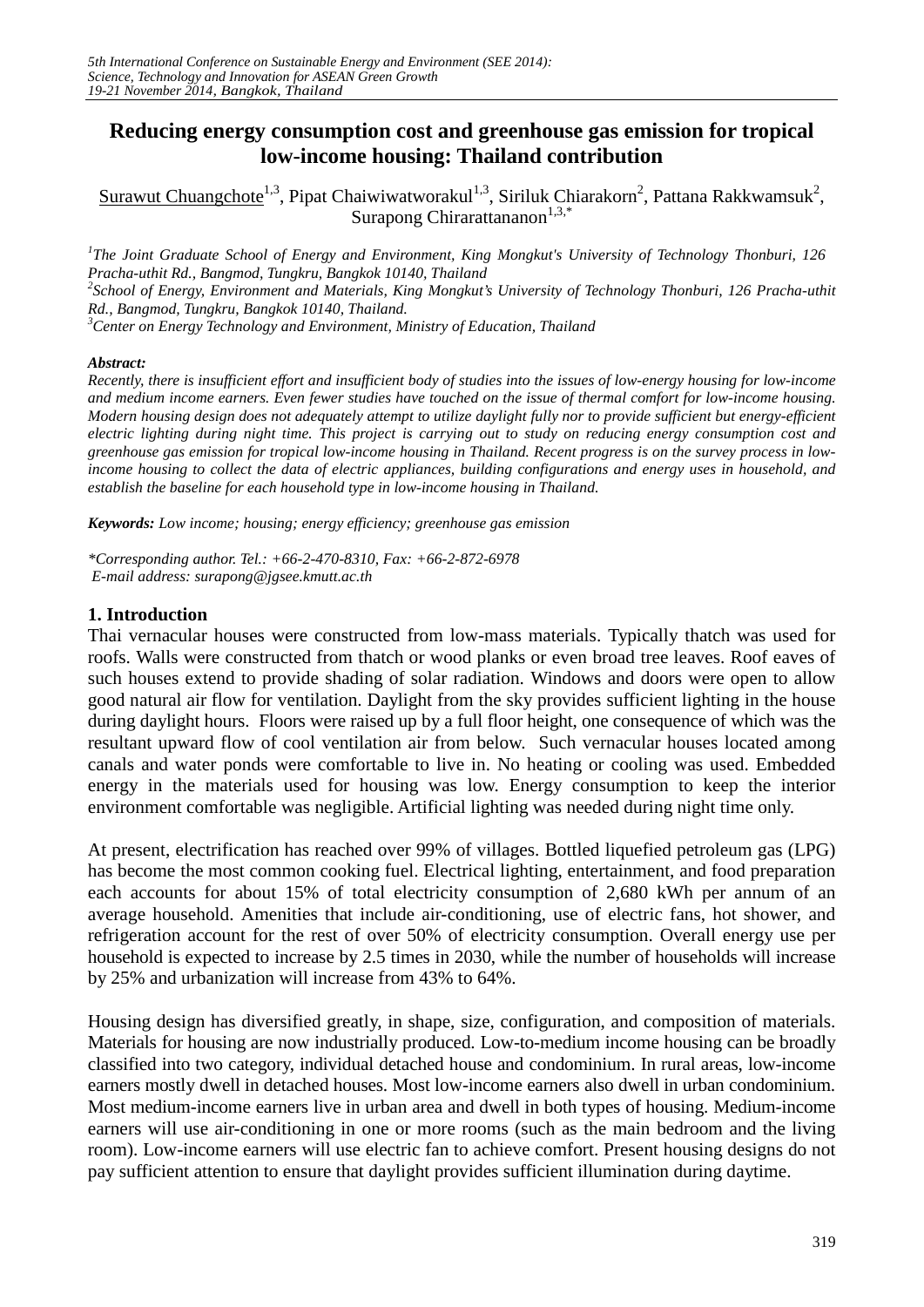# **Reducing energy consumption cost and greenhouse gas emission for tropical low-income housing: Thailand contribution**

Surawut Chuangchote<sup>1,3</sup>, Pipat Chaiwiwatworakul<sup>1,3</sup>, Siriluk Chiarakorn<sup>2</sup>, Pattana Rakkwamsuk<sup>2</sup>, Surapong Chirarattananon<sup>1,3,\*</sup>

<sup>1</sup>The Joint Graduate School of Energy and Environment, King Mongkut's University of Technology Thonburi, 126 *Pracha-uthit Rd., Bangmod, Tungkru, Bangkok 10140, Thailand <sup>2</sup> School of Energy, Environment and Materials, King Mongkut's University of Technology Thonburi, 126 Pracha-uthit Rd., Bangmod, Tungkru, Bangkok 10140, Thailand. <sup>3</sup>* <sup>3</sup> Center on Energy Technology and Environment, Ministry of Education, Thailand

#### *Abstract:*

*Recently, there is insufficient effort and insufficient body of studies into the issues of low-energy housing for low-income and medium income earners. Even fewer studies have touched on the issue of thermal comfort for low-income housing. Modern housing design does not adequately attempt to utilize daylight fully nor to provide sufficient but energy-efficient electric lighting during night time. This project is carrying out to study on reducing energy consumption cost and greenhouse gas emission for tropical low-income housing in Thailand. Recent progress is on the survey process in lowincome housing to collect the data of electric appliances, building configurations and energy uses in household, and establish the baseline for each household type in low-income housing in Thailand.* 

*Keywords: Low income; housing; energy efficiency; greenhouse gas emission*

*\*Corresponding author. Tel.: +66-2-470-8310, Fax: +66-2-872-6978 E-mail address: surapong@jgsee.kmutt.ac.th*

#### **1. Introduction**

Thai vernacular houses were constructed from low-mass materials. Typically thatch was used for roofs. Walls were constructed from thatch or wood planks or even broad tree leaves. Roof eaves of such houses extend to provide shading of solar radiation. Windows and doors were open to allow good natural air flow for ventilation. Daylight from the sky provides sufficient lighting in the house during daylight hours. Floors were raised up by a full floor height, one consequence of which was the resultant upward flow of cool ventilation air from below. Such vernacular houses located among canals and water ponds were comfortable to live in. No heating or cooling was used. Embedded energy in the materials used for housing was low. Energy consumption to keep the interior environment comfortable was negligible. Artificial lighting was needed during night time only.

At present, electrification has reached over 99% of villages. Bottled liquefied petroleum gas (LPG) has become the most common cooking fuel. Electrical lighting, entertainment, and food preparation each accounts for about 15% of total electricity consumption of 2,680 kWh per annum of an average household. Amenities that include air-conditioning, use of electric fans, hot shower, and refrigeration account for the rest of over 50% of electricity consumption. Overall energy use per household is expected to increase by 2.5 times in 2030, while the number of households will increase by 25% and urbanization will increase from 43% to 64%.

Housing design has diversified greatly, in shape, size, configuration, and composition of materials. Materials for housing are now industrially produced. Low-to-medium income housing can be broadly classified into two category, individual detached house and condominium. In rural areas, low-income earners mostly dwell in detached houses. Most low-income earners also dwell in urban condominium. Most medium-income earners live in urban area and dwell in both types of housing. Medium-income earners will use air-conditioning in one or more rooms (such as the main bedroom and the living room). Low-income earners will use electric fan to achieve comfort. Present housing designs do not pay sufficient attention to ensure that daylight provides sufficient illumination during daytime.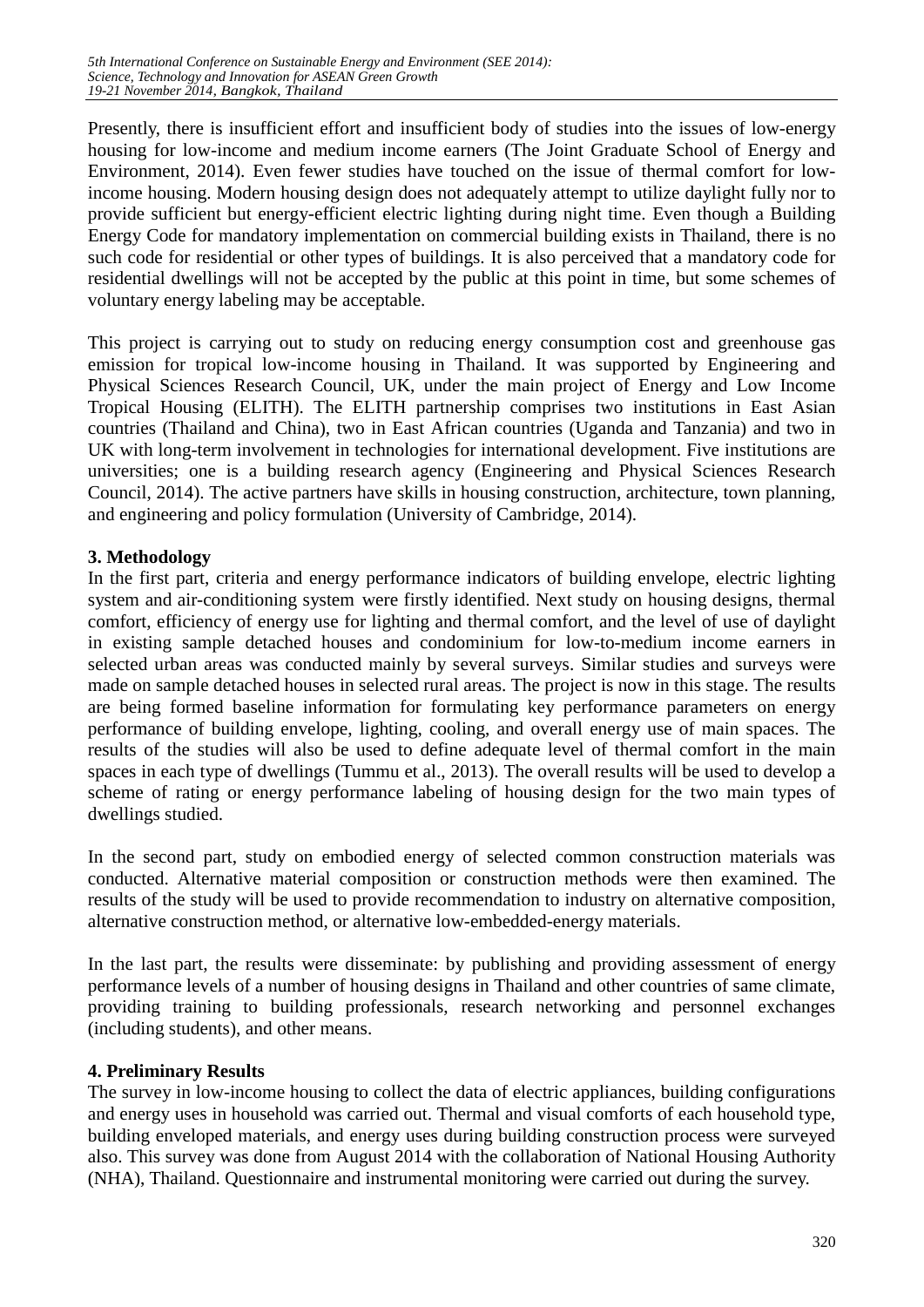Presently, there is insufficient effort and insufficient body of studies into the issues of low-energy housing for low-income and medium income earners (The Joint Graduate School of Energy and Environment, 2014). Even fewer studies have touched on the issue of thermal comfort for lowincome housing. Modern housing design does not adequately attempt to utilize daylight fully nor to provide sufficient but energy-efficient electric lighting during night time. Even though a Building Energy Code for mandatory implementation on commercial building exists in Thailand, there is no such code for residential or other types of buildings. It is also perceived that a mandatory code for residential dwellings will not be accepted by the public at this point in time, but some schemes of voluntary energy labeling may be acceptable.

This project is carrying out to study on reducing energy consumption cost and greenhouse gas emission for tropical low-income housing in Thailand. It was supported by Engineering and Physical Sciences Research Council, UK, under the main project of Energy and Low Income Tropical Housing (ELITH). The ELITH partnership comprises two institutions in East Asian countries (Thailand and China), two in East African countries (Uganda and Tanzania) and two in UK with long-term involvement in technologies for international development. Five institutions are universities; one is a building research agency (Engineering and Physical Sciences Research Council, 2014). The active partners have skills in housing construction, architecture, town planning, and engineering and policy formulation (University of Cambridge, 2014).

# **3. Methodology**

In the first part, criteria and energy performance indicators of building envelope, electric lighting system and air-conditioning system were firstly identified. Next study on housing designs, thermal comfort, efficiency of energy use for lighting and thermal comfort, and the level of use of daylight in existing sample detached houses and condominium for low-to-medium income earners in selected urban areas was conducted mainly by several surveys. Similar studies and surveys were made on sample detached houses in selected rural areas. The project is now in this stage. The results are being formed baseline information for formulating key performance parameters on energy performance of building envelope, lighting, cooling, and overall energy use of main spaces. The results of the studies will also be used to define adequate level of thermal comfort in the main spaces in each type of dwellings (Tummu et al., 2013). The overall results will be used to develop a scheme of rating or energy performance labeling of housing design for the two main types of dwellings studied.

In the second part, study on embodied energy of selected common construction materials was conducted. Alternative material composition or construction methods were then examined. The results of the study will be used to provide recommendation to industry on alternative composition, alternative construction method, or alternative low-embedded-energy materials.

In the last part, the results were disseminate: by publishing and providing assessment of energy performance levels of a number of housing designs in Thailand and other countries of same climate, providing training to building professionals, research networking and personnel exchanges (including students), and other means.

# **4. Preliminary Results**

The survey in low-income housing to collect the data of electric appliances, building configurations and energy uses in household was carried out. Thermal and visual comforts of each household type, building enveloped materials, and energy uses during building construction process were surveyed also. This survey was done from August 2014 with the collaboration of National Housing Authority (NHA), Thailand. Questionnaire and instrumental monitoring were carried out during the survey.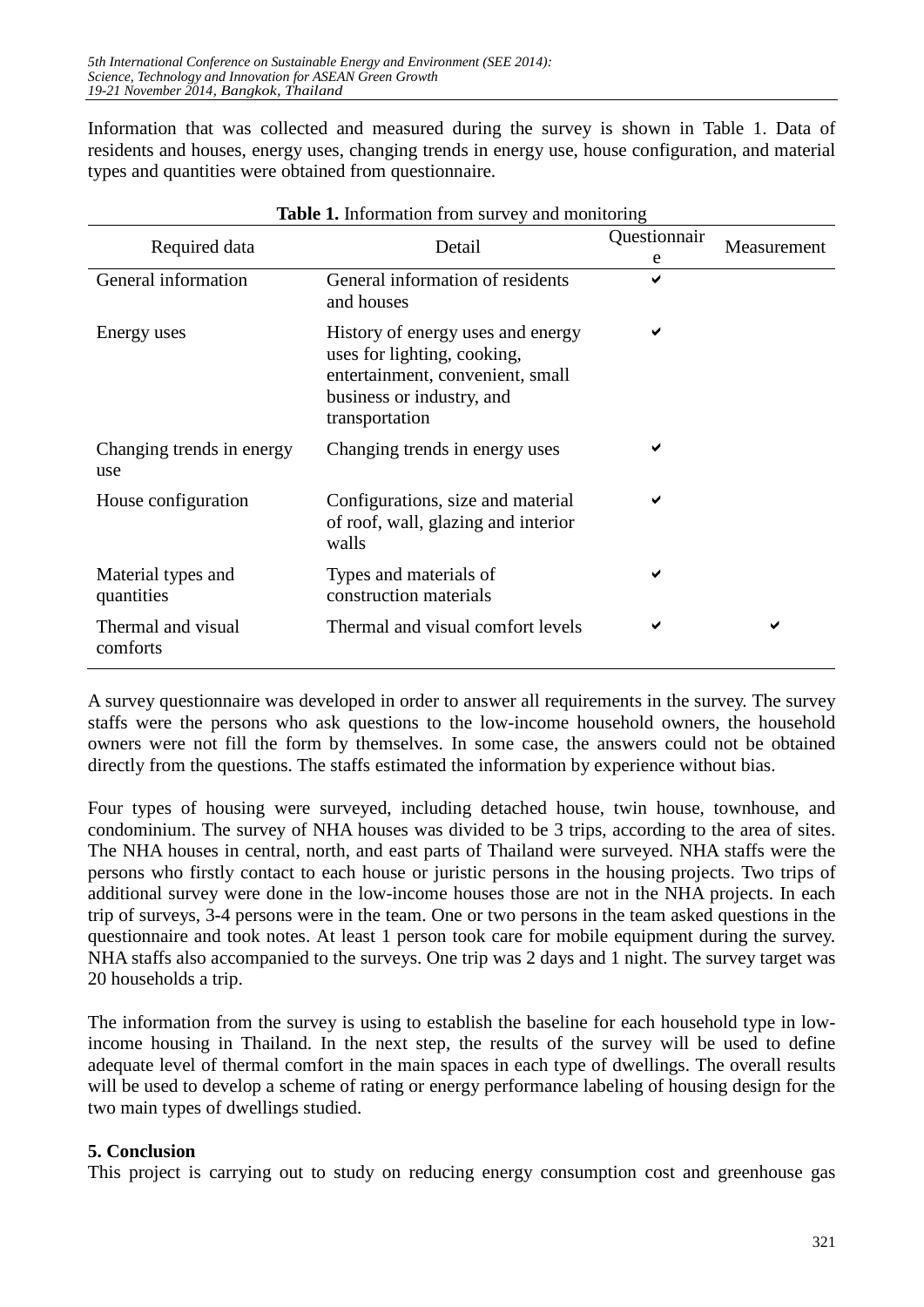Information that was collected and measured during the survey is shown in Table 1. Data of residents and houses, energy uses, changing trends in energy use, house configuration, and material types and quantities were obtained from questionnaire.

|                                  |                                                                                                                                                     | Questionnair |             |  |
|----------------------------------|-----------------------------------------------------------------------------------------------------------------------------------------------------|--------------|-------------|--|
| Required data                    | Detail                                                                                                                                              | e            | Measurement |  |
| General information              | General information of residents<br>and houses                                                                                                      | ✔            |             |  |
| Energy uses                      | History of energy uses and energy<br>uses for lighting, cooking,<br>entertainment, convenient, small<br>business or industry, and<br>transportation | ✔            |             |  |
| Changing trends in energy<br>use | Changing trends in energy uses                                                                                                                      |              |             |  |
| House configuration              | Configurations, size and material<br>of roof, wall, glazing and interior<br>walls                                                                   | ✔            |             |  |
| Material types and<br>quantities | Types and materials of<br>construction materials                                                                                                    | ✔            |             |  |
| Thermal and visual<br>comforts   | Thermal and visual comfort levels                                                                                                                   |              | ✔           |  |

|  | <b>Table 1.</b> Information from survey and monitoring |  |  |  |  |
|--|--------------------------------------------------------|--|--|--|--|
|--|--------------------------------------------------------|--|--|--|--|

A survey questionnaire was developed in order to answer all requirements in the survey. The survey staffs were the persons who ask questions to the low-income household owners, the household owners were not fill the form by themselves. In some case, the answers could not be obtained directly from the questions. The staffs estimated the information by experience without bias.

Four types of housing were surveyed, including detached house, twin house, townhouse, and condominium. The survey of NHA houses was divided to be 3 trips, according to the area of sites. The NHA houses in central, north, and east parts of Thailand were surveyed. NHA staffs were the persons who firstly contact to each house or juristic persons in the housing projects. Two trips of additional survey were done in the low-income houses those are not in the NHA projects. In each trip of surveys, 3-4 persons were in the team. One or two persons in the team asked questions in the questionnaire and took notes. At least 1 person took care for mobile equipment during the survey. NHA staffs also accompanied to the surveys. One trip was 2 days and 1 night. The survey target was 20 households a trip.

The information from the survey is using to establish the baseline for each household type in lowincome housing in Thailand. In the next step, the results of the survey will be used to define adequate level of thermal comfort in the main spaces in each type of dwellings. The overall results will be used to develop a scheme of rating or energy performance labeling of housing design for the two main types of dwellings studied.

# **5. Conclusion**

This project is carrying out to study on reducing energy consumption cost and greenhouse gas